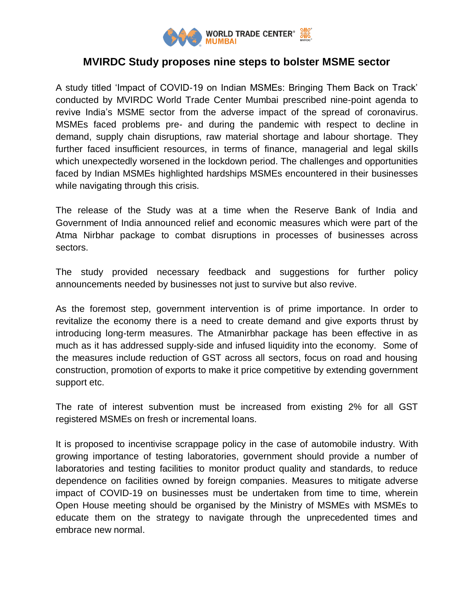

## **MVIRDC Study proposes nine steps to bolster MSME sector**

A study titled 'Impact of COVID-19 on Indian MSMEs: Bringing Them Back on Track' conducted by MVIRDC World Trade Center Mumbai prescribed nine-point agenda to revive India's MSME sector from the adverse impact of the spread of coronavirus. MSMEs faced problems pre- and during the pandemic with respect to decline in demand, supply chain disruptions, raw material shortage and labour shortage. They further faced insufficient resources, in terms of finance, managerial and legal skills which unexpectedly worsened in the lockdown period. The challenges and opportunities faced by Indian MSMEs highlighted hardships MSMEs encountered in their businesses while navigating through this crisis.

The release of the Study was at a time when the Reserve Bank of India and Government of India announced relief and economic measures which were part of the Atma Nirbhar package to combat disruptions in processes of businesses across sectors.

The study provided necessary feedback and suggestions for further policy announcements needed by businesses not just to survive but also revive.

As the foremost step, government intervention is of prime importance. In order to revitalize the economy there is a need to create demand and give exports thrust by introducing long-term measures. The Atmanirbhar package has been effective in as much as it has addressed supply-side and infused liquidity into the economy. Some of the measures include reduction of GST across all sectors, focus on road and housing construction, promotion of exports to make it price competitive by extending government support etc.

The rate of interest subvention must be increased from existing 2% for all GST registered MSMEs on fresh or incremental loans.

It is proposed to incentivise scrappage policy in the case of automobile industry. With growing importance of testing laboratories, government should provide a number of laboratories and testing facilities to monitor product quality and standards, to reduce dependence on facilities owned by foreign companies. Measures to mitigate adverse impact of COVID-19 on businesses must be undertaken from time to time, wherein Open House meeting should be organised by the Ministry of MSMEs with MSMEs to educate them on the strategy to navigate through the unprecedented times and embrace new normal.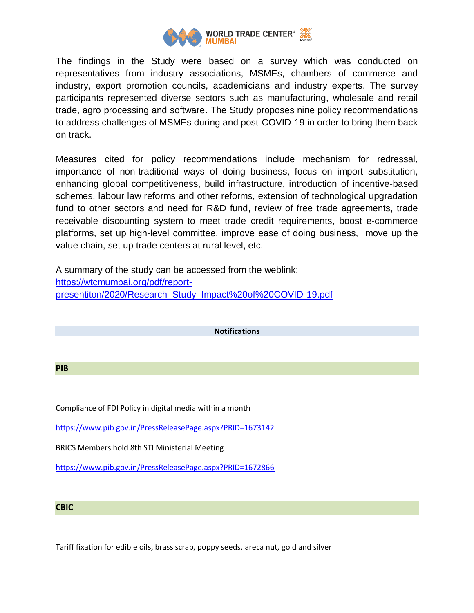

The findings in the Study were based on a survey which was conducted on representatives from industry associations, MSMEs, chambers of commerce and industry, export promotion councils, academicians and industry experts. The survey participants represented diverse sectors such as manufacturing, wholesale and retail trade, agro processing and software. The Study proposes nine policy recommendations to address challenges of MSMEs during and post-COVID-19 in order to bring them back on track.

Measures cited for policy recommendations include mechanism for redressal, importance of non-traditional ways of doing business, focus on import substitution, enhancing global competitiveness, build infrastructure, introduction of incentive-based schemes, labour law reforms and other reforms, extension of technological upgradation fund to other sectors and need for R&D fund, review of free trade agreements, trade receivable discounting system to meet trade credit requirements, boost e-commerce platforms, set up high-level committee, improve ease of doing business, move up the value chain, set up trade centers at rural level, etc.

A summary of the study can be accessed from the weblink: [https://wtcmumbai.org/pdf/report](https://wtcmumbai.org/pdf/report-presentiton/2020/Research_Study_Impact%20of%20COVID-19.pdf)[presentiton/2020/Research\\_Study\\_Impact%20of%20COVID-19.pdf](https://wtcmumbai.org/pdf/report-presentiton/2020/Research_Study_Impact%20of%20COVID-19.pdf)

**Notifications**

## **PIB**

Compliance of FDI Policy in digital media within a month

<https://www.pib.gov.in/PressReleasePage.aspx?PRID=1673142>

BRICS Members hold 8th STI Ministerial Meeting

<https://www.pib.gov.in/PressReleasePage.aspx?PRID=1672866>

## **CBIC**

Tariff fixation for edible oils, brass scrap, poppy seeds, areca nut, gold and silver